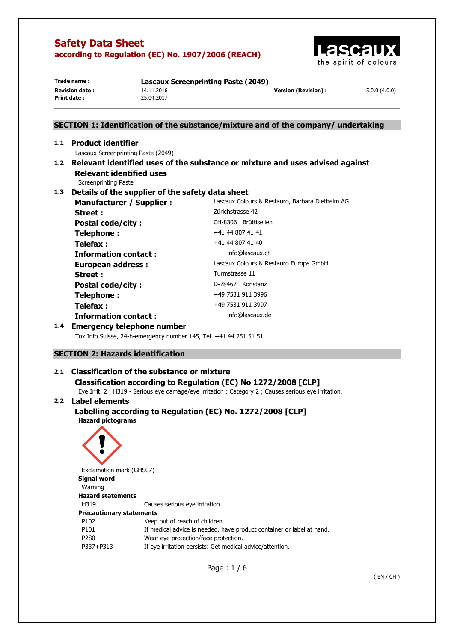

| Trade name:           | <b>Lascaux Screenprinting Paste (2049)</b> |                            |              |
|-----------------------|--------------------------------------------|----------------------------|--------------|
| <b>Revision date:</b> | 14.11.2016                                 | <b>Version (Revision):</b> | 5.0.0(4.0.0) |
| <b>Print date:</b>    | 25.04.2017                                 |                            |              |
|                       |                                            |                            |              |

# **SECTION 1: Identification of the substance/mixture and of the company/ undertaking**

# **1.1 Product identifier**  Lascaux Screenprinting Paste (2049) **1.2 Relevant identified uses of the substance or mixture and uses advised against Relevant identified uses**

Screenprinting Paste

# **1.3 Details of the supplier of the safety data sheet**

| Lascaux Colours & Restauro, Barbara Diethelm AG |
|-------------------------------------------------|
| Zürichstrasse 42                                |
| CH-8306 Brüttisellen                            |
| +41 44 807 41 41                                |
| +41 44 807 41 40                                |
| info@lascaux.ch                                 |
| Lascaux Colours & Restauro Europe GmbH          |
| Turmstrasse 11                                  |
| D-78467 Konstanz                                |
| +49 7531 911 3996                               |
| +49 7531 911 3997                               |
| info@lascaux.de                                 |
|                                                 |

# **1.4 Emergency telephone number**

Tox Info Suisse, 24-h-emergency number 145, Tel. +41 44 251 51 51

### **SECTION 2: Hazards identification**

### **2.1 Classification of the substance or mixture Classification according to Regulation (EC) No 1272/2008 [CLP]**

Eye Irrit. 2 ; H319 - Serious eye damage/eye irritation : Category 2 ; Causes serious eye irritation.

# **2.2 Label elements**

### **Labelling according to Regulation (EC) No. 1272/2008 [CLP] Hazard pictograms**

Exclamation mark (GHS07) **Signal word**  Warning **Hazard statements**  H319 Causes serious eye irritation. **Precautionary statements**  P102 Keep out of reach of children. P101 If medical advice is needed, have product container or label at hand. P280 Wear eye protection/face protection. P337+P313 If eye irritation persists: Get medical advice/attention.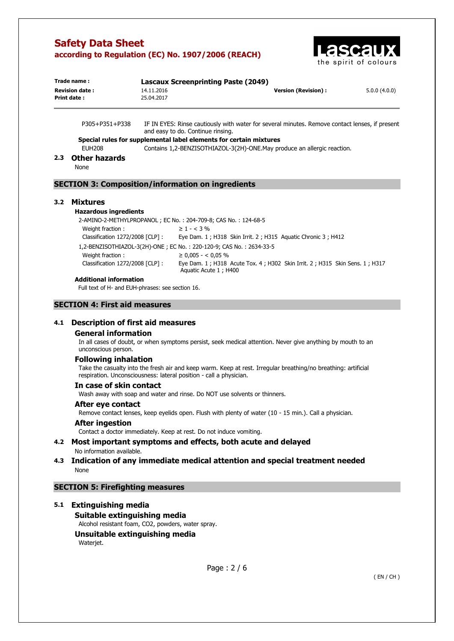

| Trade name :          | Lascaux Screenprinting Paste (2049) |                      |              |
|-----------------------|-------------------------------------|----------------------|--------------|
| <b>Revision date:</b> | 14.11.2016                          | Version (Revision) : | 5.0.0(4.0.0) |
| Print date:           | 25.04.2017                          |                      |              |
|                       |                                     |                      |              |

P305+P351+P338 IF IN EYES: Rinse cautiously with water for several minutes. Remove contact lenses, if present and easy to do. Continue rinsing.

# **Special rules for supplemental label elements for certain mixtures**

EUH208 Contains 1,2-BENZISOTHIAZOL-3(2H)-ONE.May produce an allergic reaction.

#### **2.3 Other hazards**

None

#### **SECTION 3: Composition/information on ingredients**

#### **3.2 Mixtures**

#### **Hazardous ingredients**

2-AMINO-2-METHYLPROPANOL ; EC No. : 204-709-8; CAS No. : 124-68-5 Weight fraction :  $\geq 1 - < 3\%$ Classification 1272/2008 [CLP] : Eye Dam. 1 ; H318 Skin Irrit. 2 ; H315 Aquatic Chronic 3 ; H412 1,2-BENZISOTHIAZOL-3(2H)-ONE ; EC No. : 220-120-9; CAS No. : 2634-33-5 Weight fraction :  $≥ 0.005 - < 0.05 %$ Classification 1272/2008 [CLP] : Eye Dam. 1 ; H318 Acute Tox. 4 ; H302 Skin Irrit. 2 ; H315 Skin Sens. 1 ; H317 Aquatic Acute 1 ; H400

#### **Additional information**

Full text of H- and EUH-phrases: see section 16.

# **SECTION 4: First aid measures**

### **4.1 Description of first aid measures**

#### **General information**

In all cases of doubt, or when symptoms persist, seek medical attention. Never give anything by mouth to an unconscious person.

#### **Following inhalation**

Take the casualty into the fresh air and keep warm. Keep at rest. Irregular breathing/no breathing: artificial respiration. Unconsciousness: lateral position - call a physician.

#### **In case of skin contact**

Wash away with soap and water and rinse. Do NOT use solvents or thinners.

#### **After eye contact**

Remove contact lenses, keep eyelids open. Flush with plenty of water (10 - 15 min.). Call a physician.

#### **After ingestion**

Contact a doctor immediately. Keep at rest. Do not induce vomiting.

**4.2 Most important symptoms and effects, both acute and delayed**  No information available.

#### **4.3 Indication of any immediate medical attention and special treatment needed**  None

#### **SECTION 5: Firefighting measures**

# **5.1 Extinguishing media**

**Suitable extinguishing media** 

Alcohol resistant foam, CO2, powders, water spray.

# **Unsuitable extinguishing media**

Waterjet.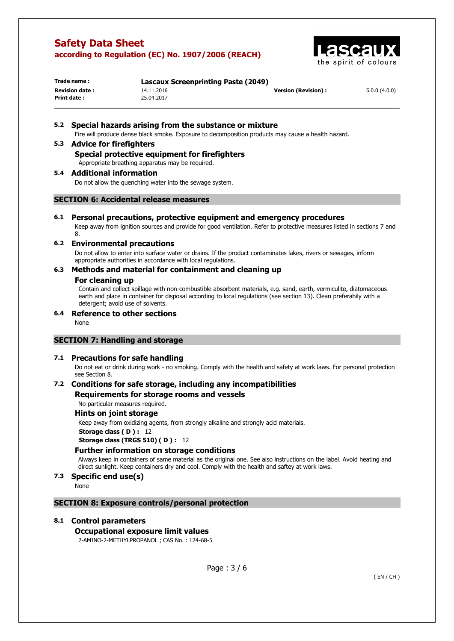

| Trade name :          | <b>Lascaux Screenprinting Paste (2049)</b> |                     |              |
|-----------------------|--------------------------------------------|---------------------|--------------|
| <b>Revision date:</b> | 14.11.2016                                 | Version (Revision): | 5.0.0(4.0.0) |
| Print date:           | 25.04.2017                                 |                     |              |

#### **5.2 Special hazards arising from the substance or mixture**  Fire will produce dense black smoke. Exposure to decomposition products may cause a health hazard.

**5.3 Advice for firefighters Special protective equipment for firefighters** 

Appropriate breathing apparatus may be required.

**5.4 Additional information** 

Do not allow the quenching water into the sewage system.

# **SECTION 6: Accidental release measures**

**6.1 Personal precautions, protective equipment and emergency procedures** 

Keep away from ignition sources and provide for good ventilation. Refer to protective measures listed in sections 7 and 8.

# **6.2 Environmental precautions**

Do not allow to enter into surface water or drains. If the product contaminates lakes, rivers or sewages, inform appropriate authorities in accordance with local regulations.

# **6.3 Methods and material for containment and cleaning up**

## **For cleaning up**

Contain and collect spillage with non-combustible absorbent materials, e.g. sand, earth, vermiculite, diatomaceous earth and place in container for disposal according to local regulations (see section 13). Clean preferabily with a detergent; avoid use of solvents.

# **6.4 Reference to other sections**

None

# **SECTION 7: Handling and storage**

# **7.1 Precautions for safe handling**

Do not eat or drink during work - no smoking. Comply with the health and safety at work laws. For personal protection see Section 8.

### **7.2 Conditions for safe storage, including any incompatibilities Requirements for storage rooms and vessels**

No particular measures required.

# **Hints on joint storage**

Keep away from oxidizing agents, from strongly alkaline and strongly acid materials.

**Storage class (D): 12** 

**Storage class (TRGS 510) ( D ) :** 12

# **Further information on storage conditions**

Always keep in containers of same material as the original one. See also instructions on the label. Avoid heating and direct sunlight. Keep containers dry and cool. Comply with the health and saftey at work laws.

# **7.3 Specific end use(s)**

None

# **SECTION 8: Exposure controls/personal protection**

# **8.1 Control parameters**

**Occupational exposure limit values**  2-AMINO-2-METHYLPROPANOL ; CAS No. : 124-68-5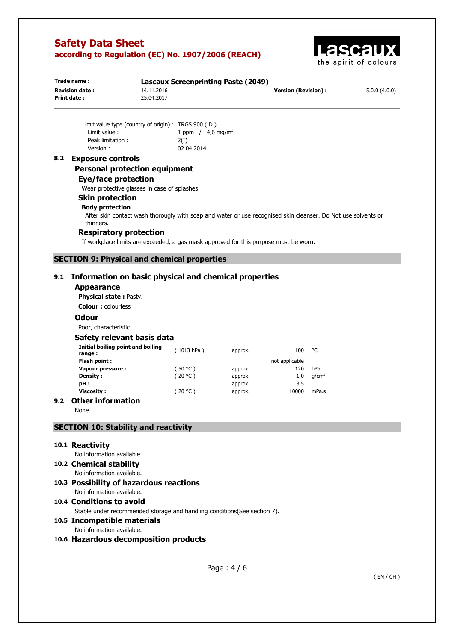

| Trade name:            | <b>Lascaux Screenprinting Paste (2049)</b> |                            |              |
|------------------------|--------------------------------------------|----------------------------|--------------|
| <b>Revision date :</b> | 14.11.2016                                 | <b>Version (Revision):</b> | 5.0.0(4.0.0) |
| Print date:            | 25.04.2017                                 |                            |              |

Limit value type (country of origin) : TRGS 900 ( D ) Limit value :  $1$  ppm  $/$  4,6 mg/m<sup>3</sup> Peak limitation : 2(I) Version : 02.04.2014

# **8.2 Exposure controls**

#### **Personal protection equipment**

#### **Eye/face protection**

Wear protective glasses in case of splashes.

#### **Skin protection Body protection**

After skin contact wash thorougly with soap and water or use recognised skin cleanser. Do Not use solvents or thinners.

#### **Respiratory protection**

If workplace limits are exceeded, a gas mask approved for this purpose must be worn.

### **SECTION 9: Physical and chemical properties**

#### **9.1 Information on basic physical and chemical properties**

#### **Appearance**

**Physical state :** Pasty.

**Colour :** colourless

#### **Odour**

Poor, characteristic.

#### **Safety relevant basis data**

| Initial boiling point and boiling<br>range: | (1013 hPa) | approx. | 100            | °C                |
|---------------------------------------------|------------|---------|----------------|-------------------|
| Flash point:                                |            |         | not applicable |                   |
| Vapour pressure :                           | (50 °C)    | approx. | 120            | hPa               |
| Density:                                    | (20 °C)    | approx. | 1,0            | q/cm <sup>3</sup> |
| pH :                                        |            | approx. | 8,5            |                   |
| Viscosity:                                  | (20 °C)    | approx. | 10000          | mPa.s             |
| - -                                         |            |         |                |                   |

# **9.2 Other information**

None

#### **SECTION 10: Stability and reactivity**

#### **10.1 Reactivity**

#### No information available.

#### **10.2 Chemical stability**  No information available.

#### **10.3 Possibility of hazardous reactions**  No information available.

# **10.4 Conditions to avoid**

Stable under recommended storage and handling conditions(See section 7).

**10.5 Incompatible materials** 

#### No information available.

# **10.6 Hazardous decomposition products**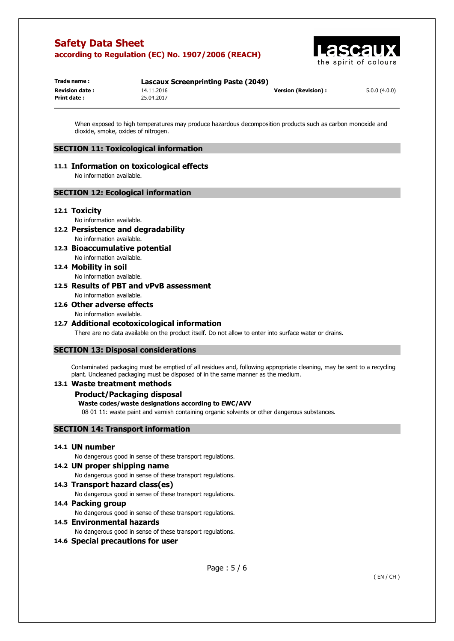

| Trade name:            | <b>Lascaux Screenprinting Paste (2049)</b> |                            |              |
|------------------------|--------------------------------------------|----------------------------|--------------|
| <b>Revision date :</b> | 14.11.2016                                 | <b>Version (Revision):</b> | 5.0.0(4.0.0) |
| Print date :           | 25.04.2017                                 |                            |              |

When exposed to high temperatures may produce hazardous decomposition products such as carbon monoxide and dioxide, smoke, oxides of nitrogen.

# **SECTION 11: Toxicological information**

**11.1 Information on toxicological effects** 

No information available.

### **SECTION 12: Ecological information**

#### **12.1 Toxicity**

No information available.

- **12.2 Persistence and degradability**  No information available.
- **12.3 Bioaccumulative potential**  No information available.

#### **12.4 Mobility in soil**  No information available.

- **12.5 Results of PBT and vPvB assessment**  No information available.
- **12.6 Other adverse effects**  No information available.

### **12.7 Additional ecotoxicological information**

There are no data available on the product itself. Do not allow to enter into surface water or drains.

### **SECTION 13: Disposal considerations**

Contaminated packaging must be emptied of all residues and, following appropriate cleaning, may be sent to a recycling plant. Uncleaned packaging must be disposed of in the same manner as the medium.

# **13.1 Waste treatment methods**

#### **Product/Packaging disposal**

#### **Waste codes/waste designations according to EWC/AVV**

08 01 11: waste paint and varnish containing organic solvents or other dangerous substances.

# **SECTION 14: Transport information**

#### **14.1 UN number**

No dangerous good in sense of these transport regulations.

- **14.2 UN proper shipping name**  No dangerous good in sense of these transport regulations.
- **14.3 Transport hazard class(es)**  No dangerous good in sense of these transport regulations.

**14.4 Packing group** 

No dangerous good in sense of these transport regulations.

- **14.5 Environmental hazards**  No dangerous good in sense of these transport regulations.
- **14.6 Special precautions for user**